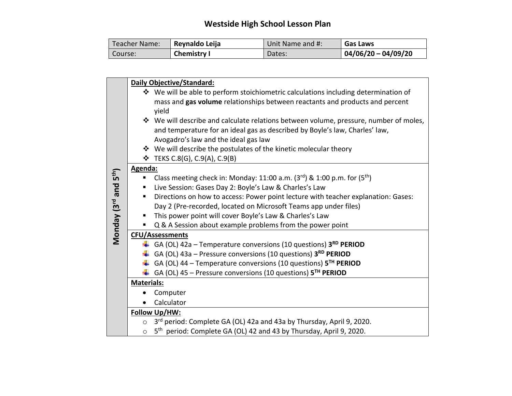## **Westside High School Lesson Plan**

| Teacher Name: | Reynaldo Leija     | Unit Name and #: | <b>Gas Laws</b>     |
|---------------|--------------------|------------------|---------------------|
| Course:       | <b>Chemistry I</b> | Dates:           | 04/06/20 - 04/09/20 |

|                       |                   | Daily Objective/Standard:                                                                                           |
|-----------------------|-------------------|---------------------------------------------------------------------------------------------------------------------|
|                       |                   | ❖ We will be able to perform stoichiometric calculations including determination of                                 |
|                       |                   | mass and gas volume relationships between reactants and products and percent                                        |
|                       |                   | yield                                                                                                               |
|                       |                   | ❖ We will describe and calculate relations between volume, pressure, number of moles,                               |
|                       |                   | and temperature for an ideal gas as described by Boyle's law, Charles' law,<br>Avogadro's law and the ideal gas law |
|                       |                   | ❖ We will describe the postulates of the kinetic molecular theory                                                   |
|                       |                   | $\div$ TEKS C.8(G), C.9(A), C.9(B)                                                                                  |
|                       | Agenda:           |                                                                                                                     |
|                       |                   | Class meeting check in: Monday: 11:00 a.m. $(3^{rd})$ & 1:00 p.m. for $(5^{th})$                                    |
| and 5 <sup>th</sup> ) | п                 | Live Session: Gases Day 2: Boyle's Law & Charles's Law                                                              |
|                       | ٠                 | Directions on how to access: Power point lecture with teacher explanation: Gases:                                   |
|                       |                   | Day 2 (Pre-recorded, located on Microsoft Teams app under files)                                                    |
|                       |                   | This power point will cover Boyle's Law & Charles's Law                                                             |
| Monday (3rd           |                   | Q & A Session about example problems from the power point                                                           |
|                       |                   | <b>CFU/Assessments</b>                                                                                              |
|                       |                   | GA (OL) 42a - Temperature conversions (10 questions) 3RD PERIOD                                                     |
|                       |                   | $\downarrow$ GA (OL) 43a – Pressure conversions (10 questions) 3 <sup>RD</sup> PERIOD                               |
|                       |                   | GA (OL) 44 - Temperature conversions (10 questions) 5TH PERIOD                                                      |
|                       | ۰.                | GA (OL) 45 – Pressure conversions (10 questions) $5^{TH}$ PERIOD                                                    |
|                       | <b>Materials:</b> |                                                                                                                     |
|                       |                   | Computer                                                                                                            |
|                       |                   | Calculator                                                                                                          |
|                       |                   | Follow Up/HW:                                                                                                       |
|                       | $\circ$           | 3rd period: Complete GA (OL) 42a and 43a by Thursday, April 9, 2020.                                                |
|                       | $\circ$           | 5 <sup>th</sup> period: Complete GA (OL) 42 and 43 by Thursday, April 9, 2020.                                      |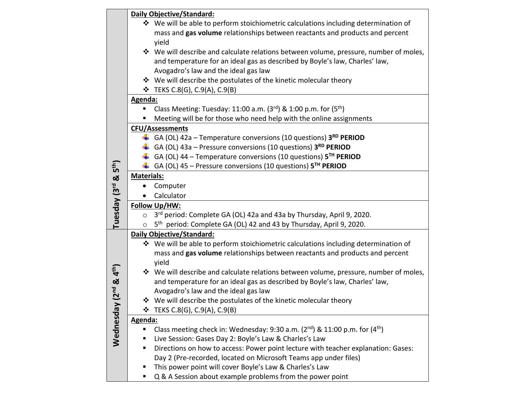|                                                |                   | Daily Objective/Standard:                                                             |  |
|------------------------------------------------|-------------------|---------------------------------------------------------------------------------------|--|
|                                                |                   | ❖ We will be able to perform stoichiometric calculations including determination of   |  |
|                                                |                   | mass and gas volume relationships between reactants and products and percent          |  |
|                                                |                   | yield                                                                                 |  |
|                                                |                   | ❖ We will describe and calculate relations between volume, pressure, number of moles, |  |
|                                                |                   | and temperature for an ideal gas as described by Boyle's law, Charles' law,           |  |
|                                                |                   | Avogadro's law and the ideal gas law                                                  |  |
|                                                |                   | ❖ We will describe the postulates of the kinetic molecular theory                     |  |
|                                                |                   | <b>❖</b> TEKS C.8(G), C.9(A), C.9(B)                                                  |  |
|                                                | Agenda:           |                                                                                       |  |
|                                                |                   | Class Meeting: Tuesday: 11:00 a.m. $(3^{rd})$ & 1:00 p.m. for $(5^{th})$              |  |
|                                                |                   | Meeting will be for those who need help with the online assignments                   |  |
|                                                |                   | <b>CFU/Assessments</b>                                                                |  |
|                                                |                   | GA (OL) 42a – Temperature conversions (10 questions) $3^{RD}$ PERIOD                  |  |
|                                                |                   | $\downarrow$ GA (OL) 43a – Pressure conversions (10 questions) 3 <sup>RD</sup> PERIOD |  |
|                                                |                   | GA (OL) 44 – Temperature conversions (10 questions) $5TH$ PERIOD                      |  |
|                                                |                   | $\downarrow$ GA (OL) 45 – Pressure conversions (10 questions) 5 <sup>TH</sup> PERIOD  |  |
|                                                | <b>Materials:</b> |                                                                                       |  |
|                                                |                   | Computer                                                                              |  |
| Tuesday (3rd & 5 <sup>th</sup> )               |                   | Calculator                                                                            |  |
|                                                | Follow Up/HW:     |                                                                                       |  |
|                                                | $\circ$           | 3 <sup>rd</sup> period: Complete GA (OL) 42a and 43a by Thursday, April 9, 2020.      |  |
|                                                | $\circ$           | 5 <sup>th</sup> period: Complete GA (OL) 42 and 43 by Thursday, April 9, 2020.        |  |
|                                                |                   | <b>Daily Objective/Standard:</b>                                                      |  |
|                                                |                   | ❖ We will be able to perform stoichiometric calculations including determination of   |  |
|                                                |                   | mass and gas volume relationships between reactants and products and percent          |  |
|                                                |                   | yield                                                                                 |  |
|                                                |                   | ❖ We will describe and calculate relations between volume, pressure, number of moles, |  |
|                                                |                   | and temperature for an ideal gas as described by Boyle's law, Charles' law,           |  |
|                                                |                   | Avogadro's law and the ideal gas law                                                  |  |
|                                                |                   | We will describe the postulates of the kinetic molecular theory                       |  |
|                                                | ❖                 | TEKS C.8(G), C.9(A), C.9(B)                                                           |  |
| Wednesday (2 <sup>nd</sup> & 4 <sup>th</sup> ) | Agenda:           |                                                                                       |  |
|                                                |                   | Class meeting check in: Wednesday: 9:30 a.m. $(2^{nd})$ & 11:00 p.m. for $(4^{th})$   |  |
|                                                |                   | Live Session: Gases Day 2: Boyle's Law & Charles's Law                                |  |
|                                                |                   | Directions on how to access: Power point lecture with teacher explanation: Gases:     |  |
|                                                |                   | Day 2 (Pre-recorded, located on Microsoft Teams app under files)                      |  |
|                                                |                   | This power point will cover Boyle's Law & Charles's Law                               |  |
|                                                |                   | Q & A Session about example problems from the power point                             |  |